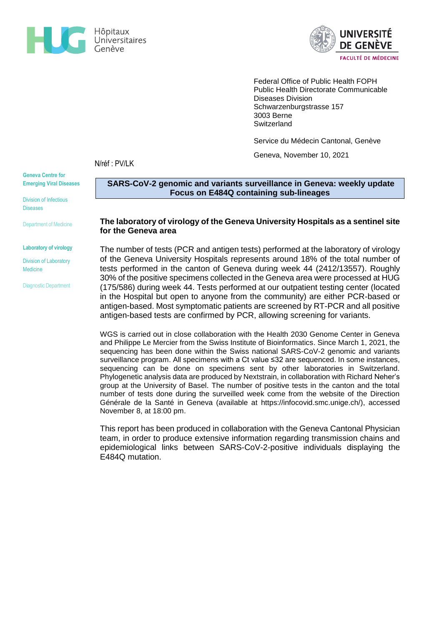



Federal Office of Public Health FOPH Public Health Directorate Communicable Diseases Division Schwarzenburgstrasse 157 3003 Berne **Switzerland** 

Service du Médecin Cantonal, Genève

Geneva, November 10, 2021

N/réf : PV/LK

**Geneva Centre for Emerging Viral Diseases**

Division of Infectious Diseases

Department of Medicine

#### **Laboratory of virology**

Division of Laboratory Medicine

Diagnostic Department

# **SARS-CoV-2 genomic and variants surveillance in Geneva: weekly update Focus on E484Q containing sub-lineages**

### **The laboratory of virology of the Geneva University Hospitals as a sentinel site for the Geneva area**

The number of tests (PCR and antigen tests) performed at the laboratory of virology of the Geneva University Hospitals represents around 18% of the total number of tests performed in the canton of Geneva during week 44 (2412/13557). Roughly 30% of the positive specimens collected in the Geneva area were processed at HUG (175/586) during week 44. Tests performed at our outpatient testing center (located in the Hospital but open to anyone from the community) are either PCR-based or antigen-based. Most symptomatic patients are screened by RT-PCR and all positive antigen-based tests are confirmed by PCR, allowing screening for variants.

WGS is carried out in close collaboration with the Health 2030 Genome Center in Geneva and Philippe Le Mercier from the Swiss Institute of Bioinformatics. Since March 1, 2021, the sequencing has been done within the Swiss national SARS-CoV-2 genomic and variants surveillance program. All specimens with a Ct value ≤32 are sequenced. In some instances, sequencing can be done on specimens sent by other laboratories in Switzerland. Phylogenetic analysis data are produced by Nextstrain, in collaboration with Richard Neher's group at the University of Basel. The number of positive tests in the canton and the total number of tests done during the surveilled week come from the website of the Direction Générale de la Santé in Geneva (available at [https://infocovid.smc.unige.ch/\)](https://infocovid.smc.unige.ch/), accessed November 8, at 18:00 pm.

This report has been produced in collaboration with the Geneva Cantonal Physician team, in order to produce extensive information regarding transmission chains and epidemiological links between SARS-CoV-2-positive individuals displaying the E484Q mutation.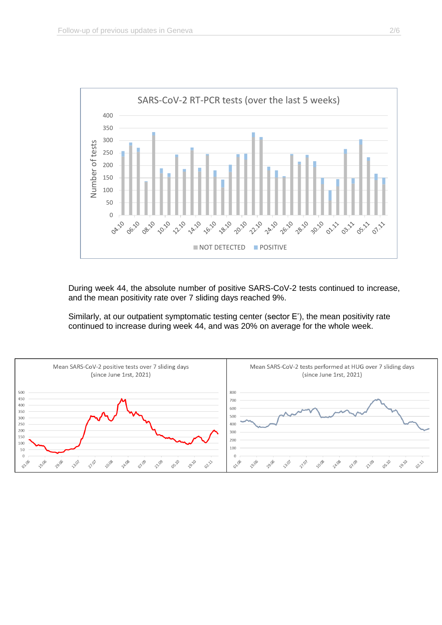

During week 44, the absolute number of positive SARS-CoV-2 tests continued to increase, and the mean positivity rate over 7 sliding days reached 9%.

Similarly, at our outpatient symptomatic testing center (sector E'), the mean positivity rate continued to increase during week 44, and was 20% on average for the whole week.

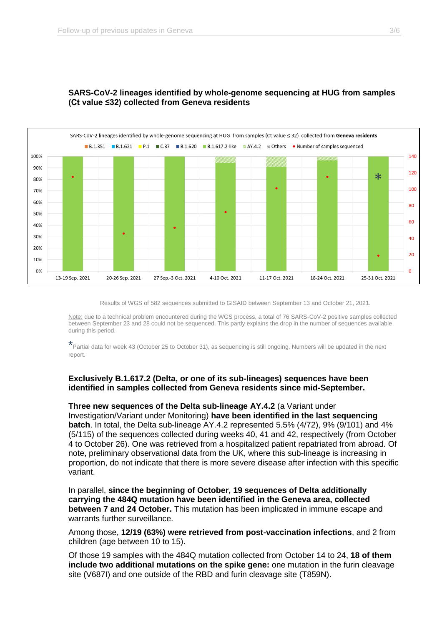

# **SARS-CoV-2 lineages identified by whole-genome sequencing at HUG from samples (Ct value ≤32) collected from Geneva residents**

Results of WGS of 582 sequences submitted to GISAID between September 13 and October 21, 2021.

Note: due to a technical problem encountered during the WGS process, a total of 76 SARS-CoV-2 positive samples collected between September 23 and 28 could not be sequenced. This partly explains the drop in the number of sequences available during this period.

\*Partial data for week 43 (October 25 to October 31), as sequencing is still ongoing. Numbers will be updated in the next report.

# **Exclusively B.1.617.2 (Delta, or one of its sub-lineages) sequences have been identified in samples collected from Geneva residents since mid-September.**

### **Three new sequences of the Delta sub-lineage AY.4.2** (a Variant under

Investigation/Variant under Monitoring) **have been identified in the last sequencing batch**. In total, the Delta sub-lineage AY.4.2 represented 5.5% (4/72), 9% (9/101) and 4% (5/115) of the sequences collected during weeks 40, 41 and 42, respectively (from October 4 to October 26). One was retrieved from a hospitalized patient repatriated from abroad. Of note, preliminary observational data from the UK, where this sub-lineage is increasing in proportion, do not indicate that there is more severe disease after infection with this specific variant.

In parallel, **since the beginning of October, 19 sequences of Delta additionally carrying the 484Q mutation have been identified in the Geneva area, collected between 7 and 24 October.** This mutation has been implicated in immune escape and warrants further surveillance.

Among those, **12/19 (63%) were retrieved from post-vaccination infections**, and 2 from children (age between 10 to 15).

Of those 19 samples with the 484Q mutation collected from October 14 to 24, **18 of them include two additional mutations on the spike gene:** one mutation in the furin cleavage site (V687I) and one outside of the RBD and furin cleavage site (T859N).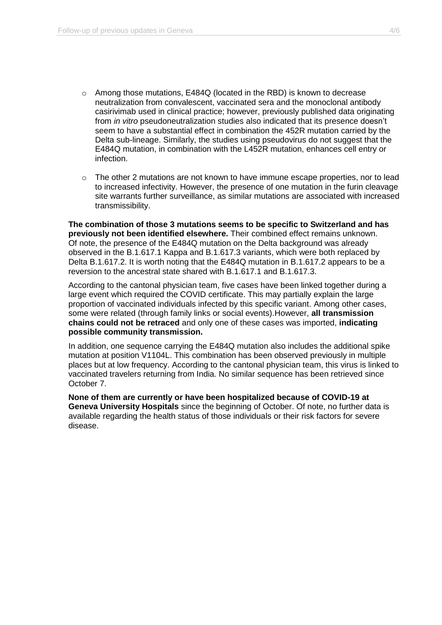- o Among those mutations, E484Q (located in the RBD) is known to decrease neutralization from convalescent, vaccinated sera and the monoclonal antibody casirivimab used in clinical practice; however, previously published data originating from *in vitro* pseudoneutralization studies also indicated that its presence doesn't seem to have a substantial effect in combination the 452R mutation carried by the Delta sub-lineage. Similarly, the studies using pseudovirus do not suggest that the E484Q mutation, in combination with the L452R mutation, enhances cell entry or infection.
- o The other 2 mutations are not known to have immune escape properties, nor to lead to increased infectivity. However, the presence of one mutation in the furin cleavage site warrants further surveillance, as similar mutations are associated with increased transmissibility.

**The combination of those 3 mutations seems to be specific to Switzerland and has previously not been identified elsewhere.** Their combined effect remains unknown. Of note, the presence of the E484Q mutation on the Delta background was already observed in the B.1.617.1 Kappa and B.1.617.3 variants, which were both replaced by Delta B.1.617.2. It is worth noting that the E484Q mutation in B.1.617.2 appears to be a reversion to the ancestral state shared with B.1.617.1 and B.1.617.3.

According to the cantonal physician team, five cases have been linked together during a large event which required the COVID certificate. This may partially explain the large proportion of vaccinated individuals infected by this specific variant. Among other cases, some were related (through family links or social events).However, **all transmission chains could not be retraced** and only one of these cases was imported, **indicating possible community transmission.**

In addition, one sequence carrying the E484Q mutation also includes the additional spike mutation at position V1104L. This combination has been observed previously in multiple places but at low frequency. According to the cantonal physician team, this virus is linked to vaccinated travelers returning from India. No similar sequence has been retrieved since October 7.

**None of them are currently or have been hospitalized because of COVID-19 at Geneva University Hospitals** since the beginning of October. Of note, no further data is available regarding the health status of those individuals or their risk factors for severe disease.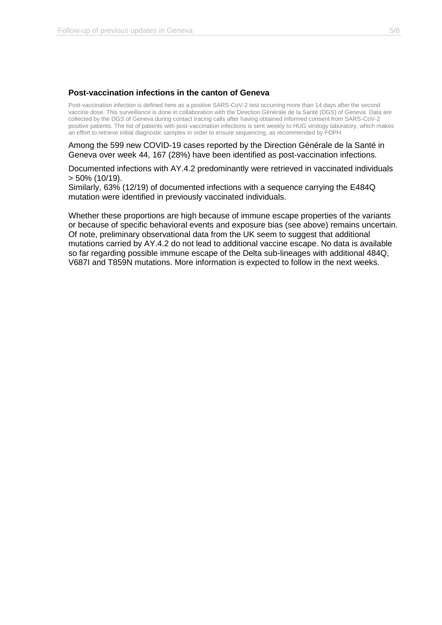# **Post-vaccination infections in the canton of Geneva**

Post-vaccination infection is defined here as a positive SARS-CoV-2 test occurring more than 14 days after the second vaccine dose. This surveillance is done in collaboration with the Direction Générale de la Santé (DGS) of Geneva. Data are collected by the DGS of Geneva during contact tracing calls after having obtained informed consent from SARS-CoV-2 positive patients. The list of patients with post-vaccination infections is sent weekly to HUG virology laboratory, which makes an effort to retrieve initial diagnostic samples in order to ensure sequencing, as recommended by FOPH.

Among the 599 new COVID-19 cases reported by the Direction Générale de la Santé in Geneva over week 44, 167 (28%) have been identified as post-vaccination infections.

Documented infections with AY.4.2 predominantly were retrieved in vaccinated individuals > 50% (10/19).

Similarly, 63% (12/19) of documented infections with a sequence carrying the E484Q mutation were identified in previously vaccinated individuals.

Whether these proportions are high because of immune escape properties of the variants or because of specific behavioral events and exposure bias (see above) remains uncertain. Of note, preliminary observational data from the UK seem to suggest that additional mutations carried by AY.4.2 do not lead to additional vaccine escape. No data is available so far regarding possible immune escape of the Delta sub-lineages with additional 484Q, V687I and T859N mutations. More information is expected to follow in the next weeks.